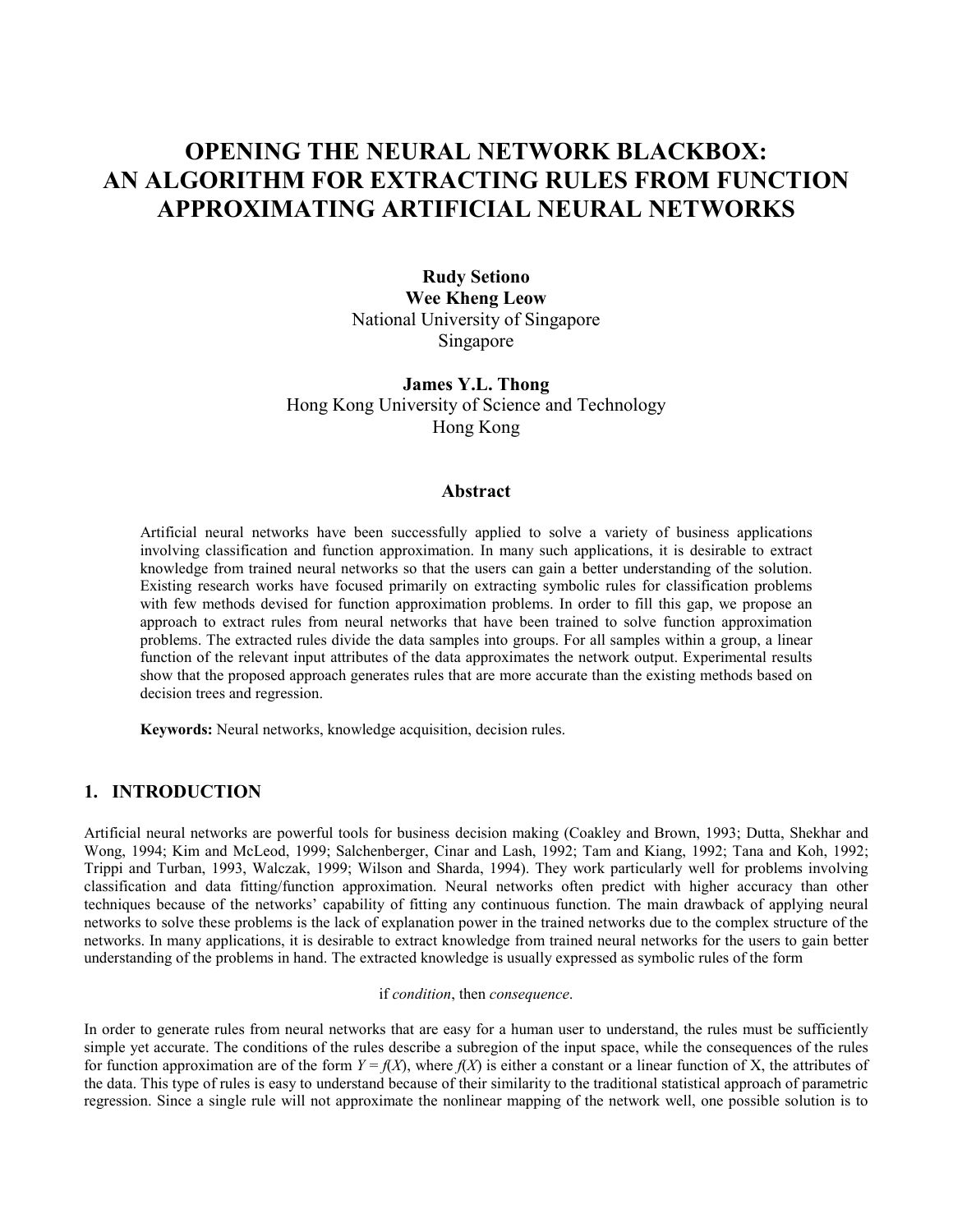# **OPENING THE NEURAL NETWORK BLACKBOX: AN ALGORITHM FOR EXTRACTING RULES FROM FUNCTION APPROXIMATING ARTIFICIAL NEURAL NETWORKS**

**Rudy Setiono Wee Kheng Leow** National University of Singapore Singapore

**James Y.L. Thong**  Hong Kong University of Science and Technology Hong Kong

## **Abstract**

Artificial neural networks have been successfully applied to solve a variety of business applications involving classification and function approximation. In many such applications, it is desirable to extract knowledge from trained neural networks so that the users can gain a better understanding of the solution. Existing research works have focused primarily on extracting symbolic rules for classification problems with few methods devised for function approximation problems. In order to fill this gap, we propose an approach to extract rules from neural networks that have been trained to solve function approximation problems. The extracted rules divide the data samples into groups. For all samples within a group, a linear function of the relevant input attributes of the data approximates the network output. Experimental results show that the proposed approach generates rules that are more accurate than the existing methods based on decision trees and regression.

**Keywords:** Neural networks, knowledge acquisition, decision rules.

# **1. INTRODUCTION**

Artificial neural networks are powerful tools for business decision making (Coakley and Brown, 1993; Dutta, Shekhar and Wong, 1994; Kim and McLeod, 1999; Salchenberger, Cinar and Lash, 1992; Tam and Kiang, 1992; Tana and Koh, 1992; Trippi and Turban, 1993, Walczak, 1999; Wilson and Sharda, 1994). They work particularly well for problems involving classification and data fitting/function approximation. Neural networks often predict with higher accuracy than other techniques because of the networks' capability of fitting any continuous function. The main drawback of applying neural networks to solve these problems is the lack of explanation power in the trained networks due to the complex structure of the networks. In many applications, it is desirable to extract knowledge from trained neural networks for the users to gain better understanding of the problems in hand. The extracted knowledge is usually expressed as symbolic rules of the form

if *condition*, then *consequence*.

In order to generate rules from neural networks that are easy for a human user to understand, the rules must be sufficiently simple yet accurate. The conditions of the rules describe a subregion of the input space, while the consequences of the rules for function approximation are of the form  $Y = f(X)$ , where  $f(X)$  is either a constant or a linear function of X, the attributes of the data. This type of rules is easy to understand because of their similarity to the traditional statistical approach of parametric regression. Since a single rule will not approximate the nonlinear mapping of the network well, one possible solution is to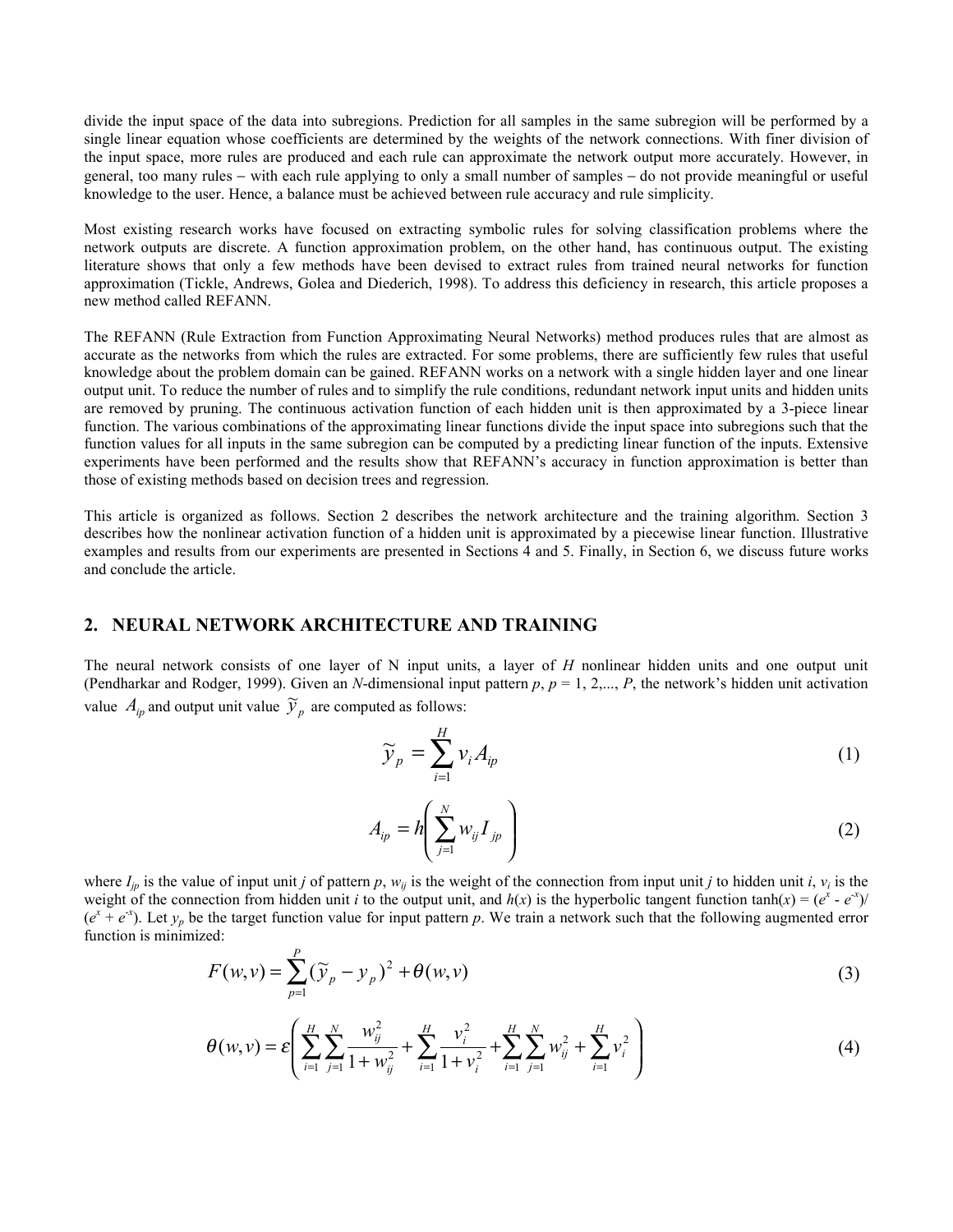divide the input space of the data into subregions. Prediction for all samples in the same subregion will be performed by a single linear equation whose coefficients are determined by the weights of the network connections. With finer division of the input space, more rules are produced and each rule can approximate the network output more accurately. However, in general, too many rules − with each rule applying to only a small number of samples − do not provide meaningful or useful knowledge to the user. Hence, a balance must be achieved between rule accuracy and rule simplicity.

Most existing research works have focused on extracting symbolic rules for solving classification problems where the network outputs are discrete. A function approximation problem, on the other hand, has continuous output. The existing literature shows that only a few methods have been devised to extract rules from trained neural networks for function approximation (Tickle, Andrews, Golea and Diederich, 1998). To address this deficiency in research, this article proposes a new method called REFANN.

The REFANN (Rule Extraction from Function Approximating Neural Networks) method produces rules that are almost as accurate as the networks from which the rules are extracted. For some problems, there are sufficiently few rules that useful knowledge about the problem domain can be gained. REFANN works on a network with a single hidden layer and one linear output unit. To reduce the number of rules and to simplify the rule conditions, redundant network input units and hidden units are removed by pruning. The continuous activation function of each hidden unit is then approximated by a 3-piece linear function. The various combinations of the approximating linear functions divide the input space into subregions such that the function values for all inputs in the same subregion can be computed by a predicting linear function of the inputs. Extensive experiments have been performed and the results show that REFANN's accuracy in function approximation is better than those of existing methods based on decision trees and regression.

This article is organized as follows. Section 2 describes the network architecture and the training algorithm. Section 3 describes how the nonlinear activation function of a hidden unit is approximated by a piecewise linear function. Illustrative examples and results from our experiments are presented in Sections 4 and 5. Finally, in Section 6, we discuss future works and conclude the article.

## **2. NEURAL NETWORK ARCHITECTURE AND TRAINING**

The neural network consists of one layer of N input units, a layer of *H* nonlinear hidden units and one output unit (Pendharkar and Rodger, 1999). Given an *N*-dimensional input pattern  $p$ ,  $p = 1, 2,..., P$ , the network's hidden unit activation value  $A_{ip}$  and output unit value  $\widetilde{y}_p$  are computed as follows:

$$
\widetilde{\mathcal{Y}}_p = \sum_{i=1}^H \mathcal{V}_i A_{ip} \tag{1}
$$

$$
A_{ip} = h \left( \sum_{j=1}^{N} w_{ij} I_{jp} \right) \tag{2}
$$

where  $I_{in}$  is the value of input unit *j* of pattern *p*,  $w_{ii}$  is the weight of the connection from input unit *j* to hidden unit *i*,  $v_i$  is the weight of the connection from hidden unit *i* to the output unit, and  $h(x)$  is the hyperbolic tangent function  $tanh(x) = (e^x - e^{-x})/$  $(e^x + e^{-x})$ . Let  $y_p$  be the target function value for input pattern *p*. We train a network such that the following augmented error function is minimized:

$$
F(w,v) = \sum_{p=1}^{P} (\widetilde{y}_p - y_p)^2 + \theta(w,v)
$$
\n(3)

$$
\theta(w,v) = \varepsilon \left( \sum_{i=1}^{H} \sum_{j=1}^{N} \frac{w_{ij}^2}{1 + w_{ij}^2} + \sum_{i=1}^{H} \frac{v_i^2}{1 + v_i^2} + \sum_{i=1}^{H} \sum_{j=1}^{N} w_{ij}^2 + \sum_{i=1}^{H} v_i^2 \right)
$$
(4)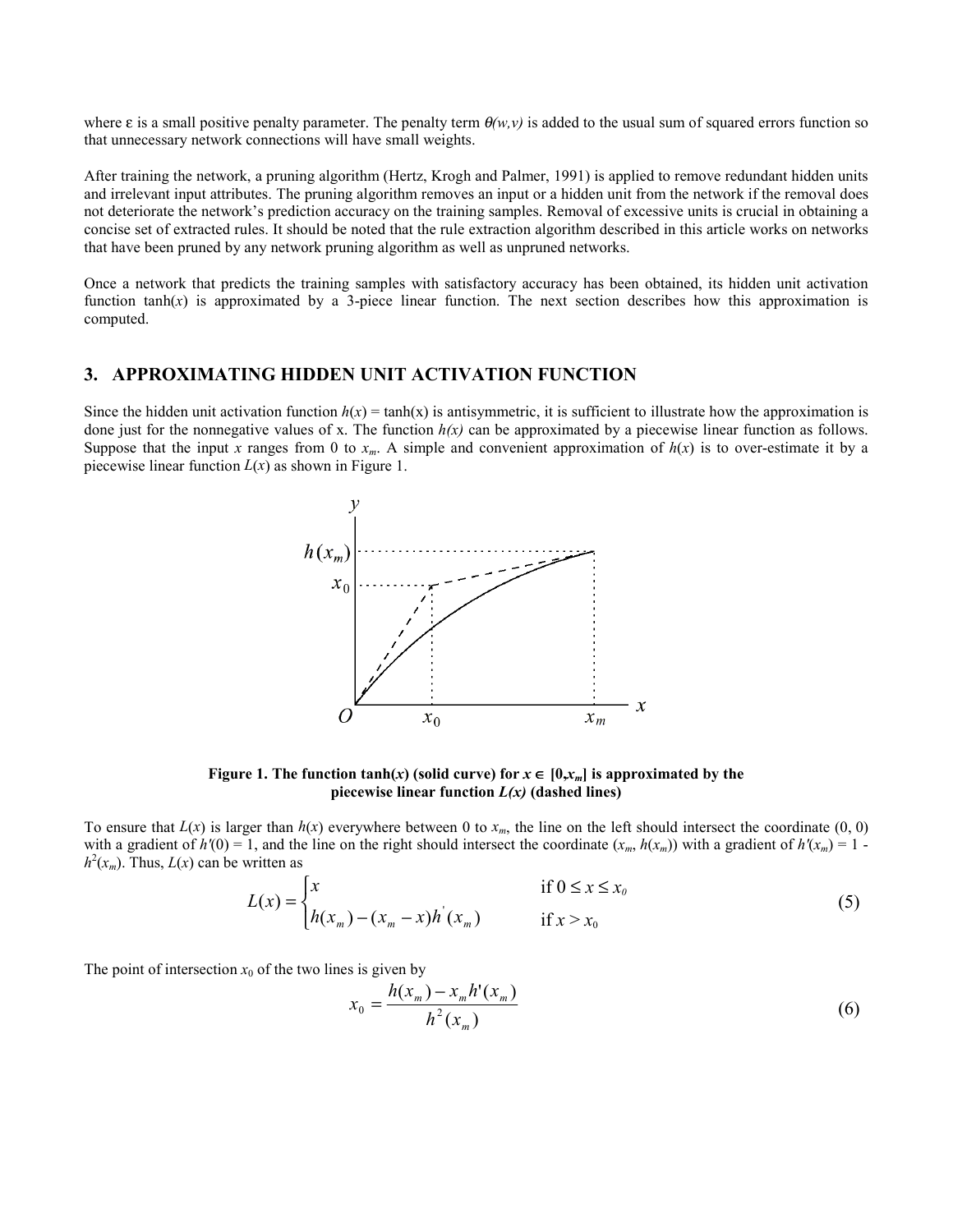where  $\varepsilon$  is a small positive penalty parameter. The penalty term  $\theta(w, v)$  is added to the usual sum of squared errors function so that unnecessary network connections will have small weights.

After training the network, a pruning algorithm (Hertz, Krogh and Palmer, 1991) is applied to remove redundant hidden units and irrelevant input attributes. The pruning algorithm removes an input or a hidden unit from the network if the removal does not deteriorate the network's prediction accuracy on the training samples. Removal of excessive units is crucial in obtaining a concise set of extracted rules. It should be noted that the rule extraction algorithm described in this article works on networks that have been pruned by any network pruning algorithm as well as unpruned networks.

Once a network that predicts the training samples with satisfactory accuracy has been obtained, its hidden unit activation function tanh(*x*) is approximated by a 3-piece linear function. The next section describes how this approximation is computed.

#### **3. APPROXIMATING HIDDEN UNIT ACTIVATION FUNCTION**

Since the hidden unit activation function  $h(x) = \tanh(x)$  is antisymmetric, it is sufficient to illustrate how the approximation is done just for the nonnegative values of x. The function  $h(x)$  can be approximated by a piecewise linear function as follows. Suppose that the input *x* ranges from 0 to  $x_m$ . A simple and convenient approximation of  $h(x)$  is to over-estimate it by a piecewise linear function  $L(x)$  as shown in Figure 1.



**Figure 1. The function tanh(***x***) (solid curve) for**  $x \in [0, x_m]$  **is approximated by the** piecewise linear function  $L(x)$  (dashed lines)

To ensure that  $L(x)$  is larger than  $h(x)$  everywhere between 0 to  $x_m$ , the line on the left should intersect the coordinate  $(0, 0)$ with a gradient of  $h'(0) = 1$ , and the line on the right should intersect the coordinate  $(x_m, h(x_m))$  with a gradient of  $h'(x_m) = 1$   $h^2(x_m)$ . Thus,  $L(x)$  can be written as

$$
L(x) = \begin{cases} x & \text{if } 0 \le x \le x_0 \\ h(x_m) - (x_m - x)h^{'}(x_m) & \text{if } x > x_0 \end{cases}
$$
 (5)

The point of intersection  $x_0$  of the two lines is given by

$$
x_0 = \frac{h(x_m) - x_m h'(x_m)}{h^2(x_m)}
$$
(6)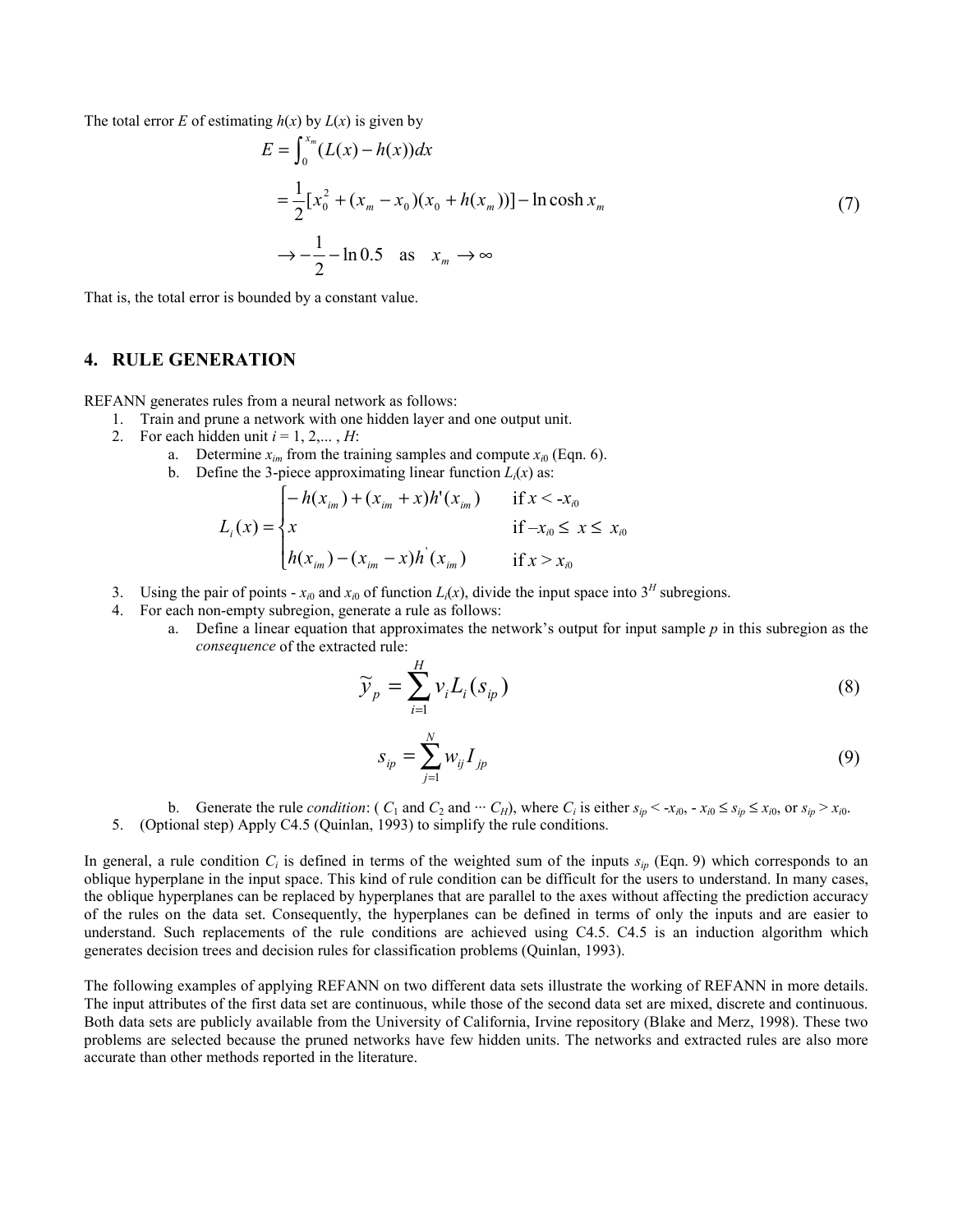The total error *E* of estimating  $h(x)$  by  $L(x)$  is given by

$$
E = \int_0^{x_m} (L(x) - h(x))dx
$$
  
=  $\frac{1}{2} [x_0^2 + (x_m - x_0)(x_0 + h(x_m))] - \ln \cosh x_m$  (7)  
 $\rightarrow -\frac{1}{2} - \ln 0.5$  as  $x_m \rightarrow \infty$ 

That is, the total error is bounded by a constant value.

## **4. RULE GENERATION**

REFANN generates rules from a neural network as follows:

- 1. Train and prune a network with one hidden layer and one output unit.
- 2. For each hidden unit  $i = 1, 2, \dots, H$ :
	- a. Determine  $x_{im}$  from the training samples and compute  $x_{i0}$  (Eqn. 6).
	- b. Define the 3-piece approximating linear function  $L<sub>i</sub>(x)$  as:

$$
L_i(x) = \begin{cases} -h(x_{im}) + (x_{im} + x)h'(x_{im}) & \text{if } x < -x_{i0} \\ x & \text{if } -x_{i0} \le x \le x_{i0} \\ h(x_{im}) - (x_{im} - x)h'(x_{im}) & \text{if } x > x_{i0} \end{cases}
$$

- 3. Using the pair of points  $x_{i0}$  and  $x_{i0}$  of function  $L_i(x)$ , divide the input space into  $3^H$  subregions.
- 4. For each non-empty subregion, generate a rule as follows:
	- a. Define a linear equation that approximates the network's output for input sample *p* in this subregion as the *consequence* of the extracted rule:

$$
\widetilde{\gamma}_p = \sum_{i=1}^H v_i L_i(s_{ip}) \tag{8}
$$

$$
S_{ip} = \sum_{j=1}^{N} w_{ij} I_{jp}
$$
 (9)

- b. Generate the rule *condition*:  $(C_1 \text{ and } C_2 \text{ and } \cdots C_H)$ , where  $C_i$  is either  $s_{in} < x_{i0}$ ,  $\cdots < x_{i0} \leq s_{in} \leq x_{i0}$ , or  $s_{in} > x_{i0}$ .
- 5. (Optional step) Apply C4.5 (Quinlan, 1993) to simplify the rule conditions.

In general, a rule condition  $C_i$  is defined in terms of the weighted sum of the inputs  $s_{ip}$  (Eqn. 9) which corresponds to an oblique hyperplane in the input space. This kind of rule condition can be difficult for the users to understand. In many cases, the oblique hyperplanes can be replaced by hyperplanes that are parallel to the axes without affecting the prediction accuracy of the rules on the data set. Consequently, the hyperplanes can be defined in terms of only the inputs and are easier to understand. Such replacements of the rule conditions are achieved using C4.5. C4.5 is an induction algorithm which generates decision trees and decision rules for classification problems (Quinlan, 1993).

The following examples of applying REFANN on two different data sets illustrate the working of REFANN in more details. The input attributes of the first data set are continuous, while those of the second data set are mixed, discrete and continuous. Both data sets are publicly available from the University of California, Irvine repository (Blake and Merz, 1998). These two problems are selected because the pruned networks have few hidden units. The networks and extracted rules are also more accurate than other methods reported in the literature.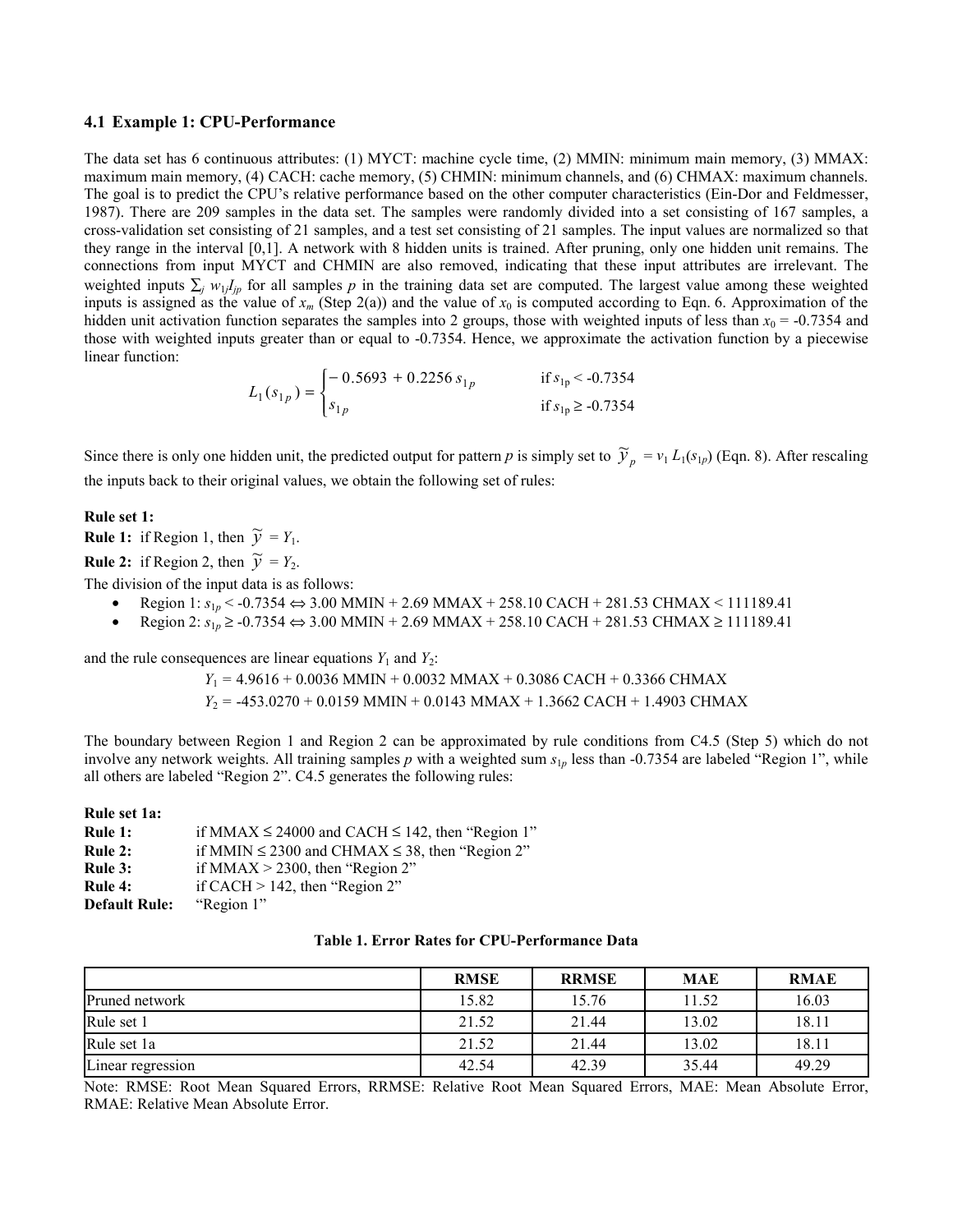#### **4.1 Example 1: CPU-Performance**

The data set has 6 continuous attributes: (1) MYCT: machine cycle time, (2) MMIN: minimum main memory, (3) MMAX: maximum main memory, (4) CACH: cache memory, (5) CHMIN: minimum channels, and (6) CHMAX: maximum channels. The goal is to predict the CPU's relative performance based on the other computer characteristics (Ein-Dor and Feldmesser, 1987). There are 209 samples in the data set. The samples were randomly divided into a set consisting of 167 samples, a cross-validation set consisting of 21 samples, and a test set consisting of 21 samples. The input values are normalized so that they range in the interval [0,1]. A network with 8 hidden units is trained. After pruning, only one hidden unit remains. The connections from input MYCT and CHMIN are also removed, indicating that these input attributes are irrelevant. The weighted inputs  $\sum_j w_{1j}I_{jp}$  for all samples *p* in the training data set are computed. The largest value among these weighted inputs is assigned as the value of  $x_m$  (Step 2(a)) and the value of  $x_0$  is computed according to Eqn. 6. Approximation of the hidden unit activation function separates the samples into 2 groups, those with weighted inputs of less than  $x_0 = -0.7354$  and those with weighted inputs greater than or equal to -0.7354. Hence, we approximate the activation function by a piecewise linear function:

$$
L_1(s_{1p}) = \begin{cases} -0.5693 + 0.2256 s_{1p} & \text{if } s_{1p} < -0.7354 \\ s_{1p} & \text{if } s_{1p} \ge -0.7354 \end{cases}
$$

Since there is only one hidden unit, the predicted output for pattern *p* is simply set to  $\tilde{y}_p = v_1 L_1(s_{1p})$  (Eqn. 8). After rescaling the inputs back to their original values, we obtain the following set of rules:

#### **Rule set 1:**

**Rule 1:** if Region 1, then  $\widetilde{y} = Y_1$ .

**Rule 2:** if Region 2, then  $\widetilde{y} = Y_2$ .

The division of the input data is as follows:

- Region 1: *s*1*<sup>p</sup>* < -0.7354 ⇔ 3.00 MMIN + 2.69 MMAX + 258.10 CACH + 281.53 CHMAX < 111189.41
- Region 2: *s*1*<sup>p</sup>* ≥ -0.7354 ⇔ 3.00 MMIN + 2.69 MMAX + 258.10 CACH + 281.53 CHMAX ≥ 111189.41

and the rule consequences are linear equations  $Y_1$  and  $Y_2$ :

*Y*1 = 4.9616 + 0.0036 MMIN + 0.0032 MMAX + 0.3086 CACH + 0.3366 CHMAX *Y*2 = -453.0270 + 0.0159 MMIN + 0.0143 MMAX + 1.3662 CACH + 1.4903 CHMAX

The boundary between Region 1 and Region 2 can be approximated by rule conditions from C4.5 (Step 5) which do not involve any network weights. All training samples *p* with a weighted sum *s*1*<sup>p</sup>* less than -0.7354 are labeled "Region 1", while all others are labeled "Region 2". C4.5 generates the following rules:

#### **Rule set 1a:**

| Rule 1:              | if MMAX $\leq$ 24000 and CACH $\leq$ 142, then "Region 1" |
|----------------------|-----------------------------------------------------------|
| Rule 2:              | if MMIN $\leq$ 2300 and CHMAX $\leq$ 38, then "Region 2"  |
| Rule 3:              | if MMAX $>$ 2300, then "Region 2"                         |
| Rule 4:              | if CACH $>$ 142, then "Region 2"                          |
| <b>Default Rule:</b> | "Region 1"                                                |

|                   | <b>RMSE</b> | <b>RRMSE</b> | <b>MAE</b> | <b>RMAE</b> |
|-------------------|-------------|--------------|------------|-------------|
| Pruned network    | 15.82       | 15.76        | 1.52       | 16.03       |
| Rule set 1        | 21.52       | 21.44        | 13.02      | 18.11       |
| Rule set 1a       | 21.52       | 21.44        | 13.02      | 18.11       |
| Linear regression | 42.54       | 42.39        | 35.44      | 49.29       |

Note: RMSE: Root Mean Squared Errors, RRMSE: Relative Root Mean Squared Errors, MAE: Mean Absolute Error, RMAE: Relative Mean Absolute Error.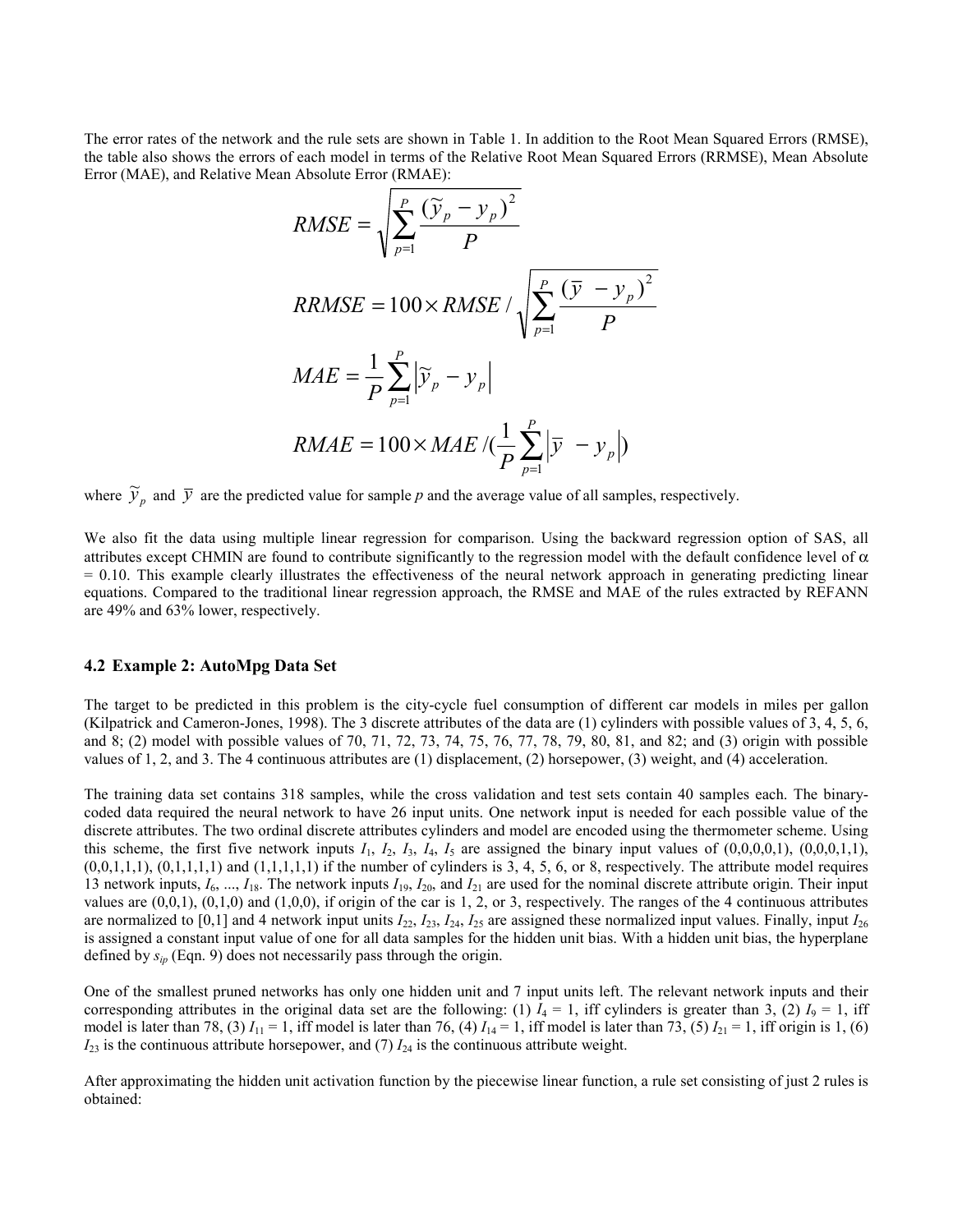The error rates of the network and the rule sets are shown in Table 1. In addition to the Root Mean Squared Errors (RMSE), the table also shows the errors of each model in terms of the Relative Root Mean Squared Errors (RRMSE), Mean Absolute Error (MAE), and Relative Mean Absolute Error (RMAE):

$$
RMSE = \sqrt{\sum_{p=1}^{P} \frac{(\widetilde{y}_p - y_p)^2}{P}}
$$
  
\n
$$
RRMSE = 100 \times RMSE / \sqrt{\sum_{p=1}^{P} \frac{(\overline{y} - y_p)^2}{P}}
$$
  
\n
$$
MAE = \frac{1}{P} \sum_{p=1}^{P} |\widetilde{y}_p - y_p|
$$
  
\n
$$
RMAE = 100 \times MAE / (\frac{1}{P} \sum_{p=1}^{P} |\overline{y} - y_p|)
$$

where  $\tilde{y}_p$  and  $\bar{y}$  are the predicted value for sample p and the average value of all samples, respectively.

We also fit the data using multiple linear regression for comparison. Using the backward regression option of SAS, all attributes except CHMIN are found to contribute significantly to the regression model with the default confidence level of  $\alpha$  $= 0.10$ . This example clearly illustrates the effectiveness of the neural network approach in generating predicting linear equations. Compared to the traditional linear regression approach, the RMSE and MAE of the rules extracted by REFANN are 49% and 63% lower, respectively.

### **4.2 Example 2: AutoMpg Data Set**

The target to be predicted in this problem is the city-cycle fuel consumption of different car models in miles per gallon (Kilpatrick and Cameron-Jones, 1998). The 3 discrete attributes of the data are (1) cylinders with possible values of 3, 4, 5, 6, and 8; (2) model with possible values of 70, 71, 72, 73, 74, 75, 76, 77, 78, 79, 80, 81, and 82; and (3) origin with possible values of 1, 2, and 3. The 4 continuous attributes are (1) displacement, (2) horsepower, (3) weight, and (4) acceleration.

The training data set contains 318 samples, while the cross validation and test sets contain 40 samples each. The binarycoded data required the neural network to have 26 input units. One network input is needed for each possible value of the discrete attributes. The two ordinal discrete attributes cylinders and model are encoded using the thermometer scheme. Using this scheme, the first five network inputs  $I_1$ ,  $I_2$ ,  $I_3$ ,  $I_4$ ,  $I_5$  are assigned the binary input values of  $(0,0,0,0,1)$ ,  $(0,0,0,1,1)$ ,  $(0,0,1,1,1)$ ,  $(0,1,1,1,1)$  and  $(1,1,1,1,1)$  if the number of cylinders is 3, 4, 5, 6, or 8, respectively. The attribute model requires 13 network inputs,  $I_6$ , ...,  $I_{18}$ . The network inputs  $I_{19}$ ,  $I_{20}$ , and  $I_{21}$  are used for the nominal discrete attribute origin. Their input values are  $(0,0,1)$ ,  $(0,1,0)$  and  $(1,0,0)$ , if origin of the car is 1, 2, or 3, respectively. The ranges of the 4 continuous attributes are normalized to [0,1] and 4 network input units  $I_{22}$ ,  $I_{23}$ ,  $I_{24}$ ,  $I_{25}$  are assigned these normalized input values. Finally, input  $I_{26}$ is assigned a constant input value of one for all data samples for the hidden unit bias. With a hidden unit bias, the hyperplane defined by *sip* (Eqn. 9) does not necessarily pass through the origin.

One of the smallest pruned networks has only one hidden unit and 7 input units left. The relevant network inputs and their corresponding attributes in the original data set are the following: (1)  $I_4 = 1$ , iff cylinders is greater than 3, (2)  $I_9 = 1$ , iff model is later than 78, (3)  $I_{11} = 1$ , iff model is later than 76, (4)  $I_{14} = 1$ , iff model is later than 73, (5)  $I_{21} = 1$ , iff origin is 1, (6)  $I_{23}$  is the continuous attribute horsepower, and (7)  $I_{24}$  is the continuous attribute weight.

After approximating the hidden unit activation function by the piecewise linear function, a rule set consisting of just 2 rules is obtained: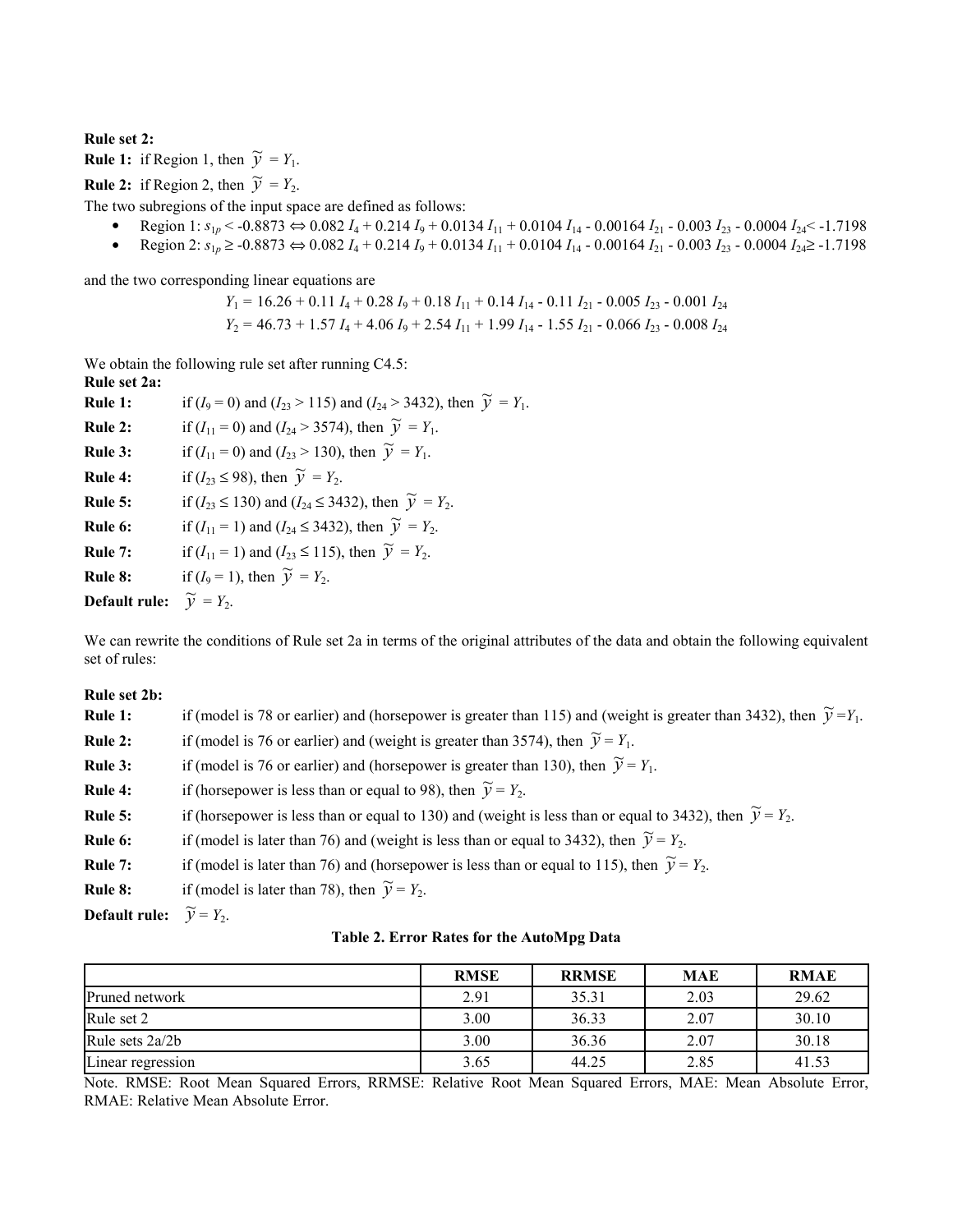## **Rule set 2:**

**Rule 1:** if Region 1, then  $\widetilde{y} = Y_1$ .

**Rule 2:** if Region 2, then  $\widetilde{y} = Y_2$ .

The two subregions of the input space are defined as follows:

- Region 1:  $s_{1p}$  < -0.8873 ⇔ 0.082  $I_4$  + 0.214  $I_9$  + 0.0134  $I_{11}$  + 0.0104  $I_{14}$  0.00164  $I_{21}$  0.003  $I_{23}$  0.0004  $I_{24}$  < -1.7198
- Region 2:  $s_{1p} \ge 0.8873$  ⇔ 0.082  $I_4$  + 0.214  $I_9$  + 0.0134  $I_{11}$  + 0.0104  $I_{14}$  0.00164  $I_{21}$  0.003  $I_{23}$  0.0004  $I_{24}$  ≥ -1.7198

and the two corresponding linear equations are

$$
Y_1 = 16.26 + 0.11 I_4 + 0.28 I_9 + 0.18 I_{11} + 0.14 I_{14} - 0.11 I_{21} - 0.005 I_{23} - 0.001 I_{24}
$$
  

$$
Y_2 = 46.73 + 1.57 I_4 + 4.06 I_9 + 2.54 I_{11} + 1.99 I_{14} - 1.55 I_{21} - 0.066 I_{23} - 0.008 I_{24}
$$

We obtain the following rule set after running C4.5:

**Rule set 2a: Rule 1:** if  $(I_9 = 0)$  and  $(I_{23} > 115)$  and  $(I_{24} > 3432)$ , then  $\widetilde{y} = Y_1$ . **Rule 2:** if  $(I_{11} = 0)$  and  $(I_{24} > 3574)$ , then  $\widetilde{y} = Y_1$ . **Rule 3:** if  $(I_{11} = 0)$  and  $(I_{23} > 130)$ , then  $\tilde{y} = Y_1$ . **Rule 4:** if  $(I_{23} \le 98)$ , then  $\widetilde{y} = Y_2$ . **Rule 5:** if ( $I_{23} \le 130$ ) and ( $I_{24} \le 3432$ ), then  $\widetilde{y} = Y_{2}$ . **Rule 6:** if  $(I_{11} = 1)$  and  $(I_{24} \le 3432)$ , then  $\tilde{y} = Y_2$ . **Rule 7:** if  $(I_{11} = 1)$  and  $(I_{23} \le 115)$ , then  $\tilde{y} = Y_2$ . **Rule 8:** if  $(I_9 = 1)$ , then  $\widetilde{y} = Y_2$ . **Default rule:**  $\widetilde{y} = Y_2$ .

We can rewrite the conditions of Rule set 2a in terms of the original attributes of the data and obtain the following equivalent set of rules:

**Rule set 2b:**

| Rule 1:                                      | if (model is 78 or earlier) and (horsepower is greater than 115) and (weight is greater than 3432), then $\tilde{y} = Y_1$ . |
|----------------------------------------------|------------------------------------------------------------------------------------------------------------------------------|
| Rule 2:                                      | if (model is 76 or earlier) and (weight is greater than 3574), then $\widetilde{v} = Y_1$ .                                  |
| Rule 3:                                      | if (model is 76 or earlier) and (horsepower is greater than 130), then $\widetilde{v} = Y_1$ .                               |
| Rule 4:                                      | if (horsepower is less than or equal to 98), then $\widetilde{v} = Y_2$ .                                                    |
| Rule 5:                                      | if (horsepower is less than or equal to 130) and (weight is less than or equal to 3432), then $\tilde{v} = Y_2$ .            |
| Rule 6:                                      | if (model is later than 76) and (weight is less than or equal to 3432), then $\widetilde{y} = Y_2$ .                         |
| Rule 7:                                      | if (model is later than 76) and (horsepower is less than or equal to 115), then $\widetilde{v} = Y_2$ .                      |
| Rule 8:                                      | if (model is later than 78), then $\widetilde{y} = Y_2$ .                                                                    |
| <b>Default rule:</b> $\widetilde{y} = Y_2$ . |                                                                                                                              |
|                                              |                                                                                                                              |

|  |  |  |  |  | Table 2. Error Rates for the AutoMpg Data |
|--|--|--|--|--|-------------------------------------------|
|--|--|--|--|--|-------------------------------------------|

|                   | <b>RMSE</b> | <b>RRMSE</b> | <b>MAE</b> | <b>RMAE</b> |
|-------------------|-------------|--------------|------------|-------------|
| Pruned network    | 2.91        | 35.31        | 2.03       | 29.62       |
| Rule set 2        | 3.00        | 36.33        | 2.07       | 30.10       |
| Rule sets 2a/2b   | 3.00        | 36.36        | 2.07       | 30.18       |
| Linear regression | 3.65        | 44.25        | 2.85       | 41.53       |

Note. RMSE: Root Mean Squared Errors, RRMSE: Relative Root Mean Squared Errors, MAE: Mean Absolute Error, RMAE: Relative Mean Absolute Error.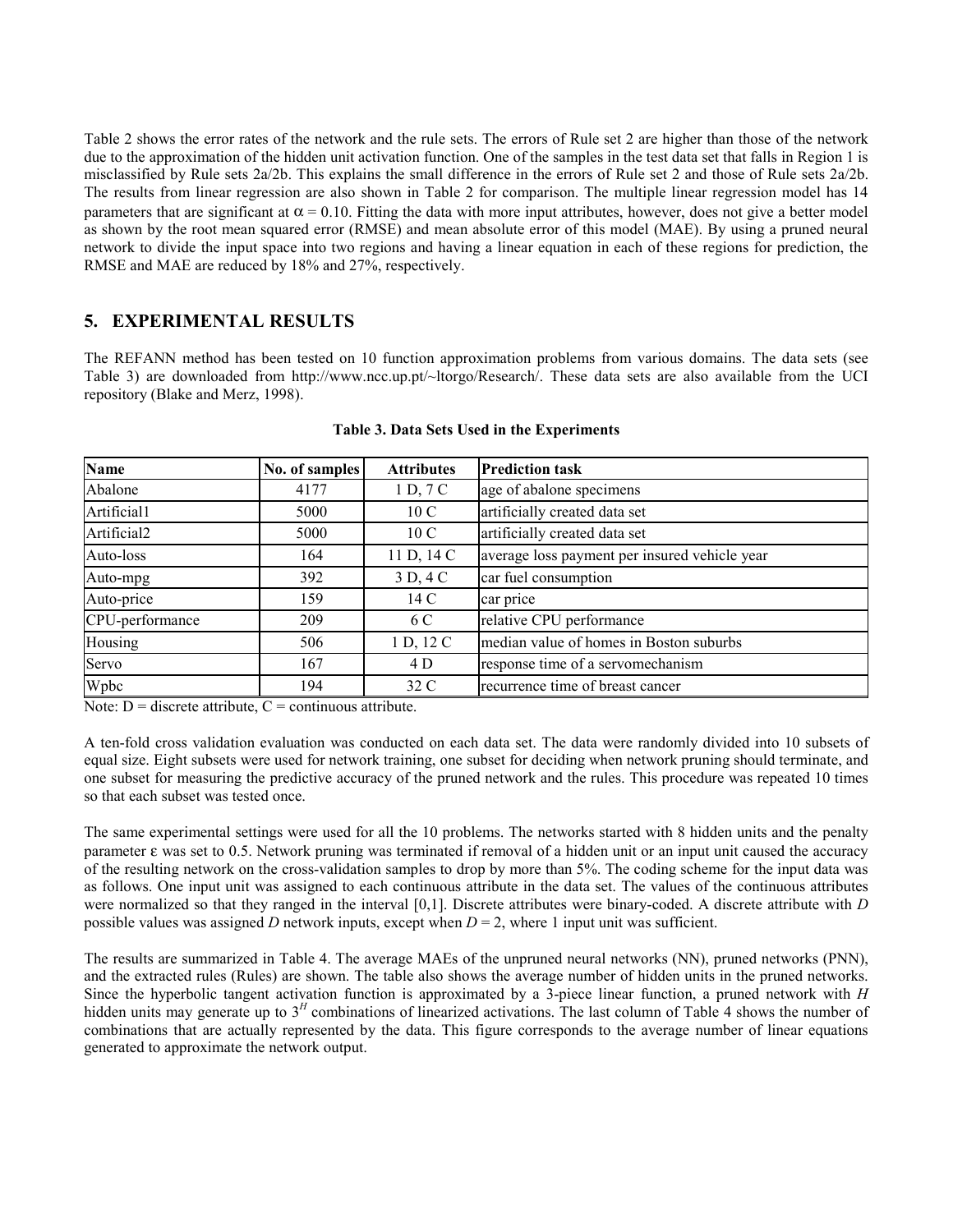Table 2 shows the error rates of the network and the rule sets. The errors of Rule set 2 are higher than those of the network due to the approximation of the hidden unit activation function. One of the samples in the test data set that falls in Region 1 is misclassified by Rule sets 2a/2b. This explains the small difference in the errors of Rule set 2 and those of Rule sets 2a/2b. The results from linear regression are also shown in Table 2 for comparison. The multiple linear regression model has 14 parameters that are significant at  $\alpha = 0.10$ . Fitting the data with more input attributes, however, does not give a better model as shown by the root mean squared error (RMSE) and mean absolute error of this model (MAE). By using a pruned neural network to divide the input space into two regions and having a linear equation in each of these regions for prediction, the RMSE and MAE are reduced by 18% and 27%, respectively.

# **5. EXPERIMENTAL RESULTS**

The REFANN method has been tested on 10 function approximation problems from various domains. The data sets (see Table 3) are downloaded from http://www.ncc.up.pt/~ltorgo/Research/. These data sets are also available from the UCI repository (Blake and Merz, 1998).

| <b>Name</b>     | No. of samples | <b>Attributes</b> | <b>Prediction task</b>                        |
|-----------------|----------------|-------------------|-----------------------------------------------|
| Abalone         | 4177           | 1 D, 7 C          | age of abalone specimens                      |
| Artificial1     | 5000           | 10 C              | artificially created data set                 |
| Artificial2     | 5000           | 10 <sub>C</sub>   | artificially created data set                 |
| Auto-loss       | 164            | 11 D, 14 C        | average loss payment per insured vehicle year |
| Auto-mpg        | 392            | 3 D, 4 C          | car fuel consumption                          |
| Auto-price      | 159            | 14 C              | car price                                     |
| CPU-performance | 209            | 6 C               | relative CPU performance                      |
| Housing         | 506            | 1 D, 12 C         | median value of homes in Boston suburbs       |
| Servo           | 167            | 4 D               | response time of a servomechanism             |
| Wpbc            | 194            | 32 C              | recurrence time of breast cancer              |

**Table 3. Data Sets Used in the Experiments** 

Note:  $D =$  discrete attribute,  $C =$  continuous attribute.

A ten-fold cross validation evaluation was conducted on each data set. The data were randomly divided into 10 subsets of equal size. Eight subsets were used for network training, one subset for deciding when network pruning should terminate, and one subset for measuring the predictive accuracy of the pruned network and the rules. This procedure was repeated 10 times so that each subset was tested once.

The same experimental settings were used for all the 10 problems. The networks started with 8 hidden units and the penalty parameter ε was set to 0.5. Network pruning was terminated if removal of a hidden unit or an input unit caused the accuracy of the resulting network on the cross-validation samples to drop by more than 5%. The coding scheme for the input data was as follows. One input unit was assigned to each continuous attribute in the data set. The values of the continuous attributes were normalized so that they ranged in the interval [0,1]. Discrete attributes were binary-coded. A discrete attribute with *D* possible values was assigned *D* network inputs, except when *D* = 2, where 1 input unit was sufficient.

The results are summarized in Table 4. The average MAEs of the unpruned neural networks (NN), pruned networks (PNN), and the extracted rules (Rules) are shown. The table also shows the average number of hidden units in the pruned networks. Since the hyperbolic tangent activation function is approximated by a 3-piece linear function, a pruned network with *H* hidden units may generate up to 3<sup>H</sup> combinations of linearized activations. The last column of Table 4 shows the number of combinations that are actually represented by the data. This figure corresponds to the average number of linear equations generated to approximate the network output.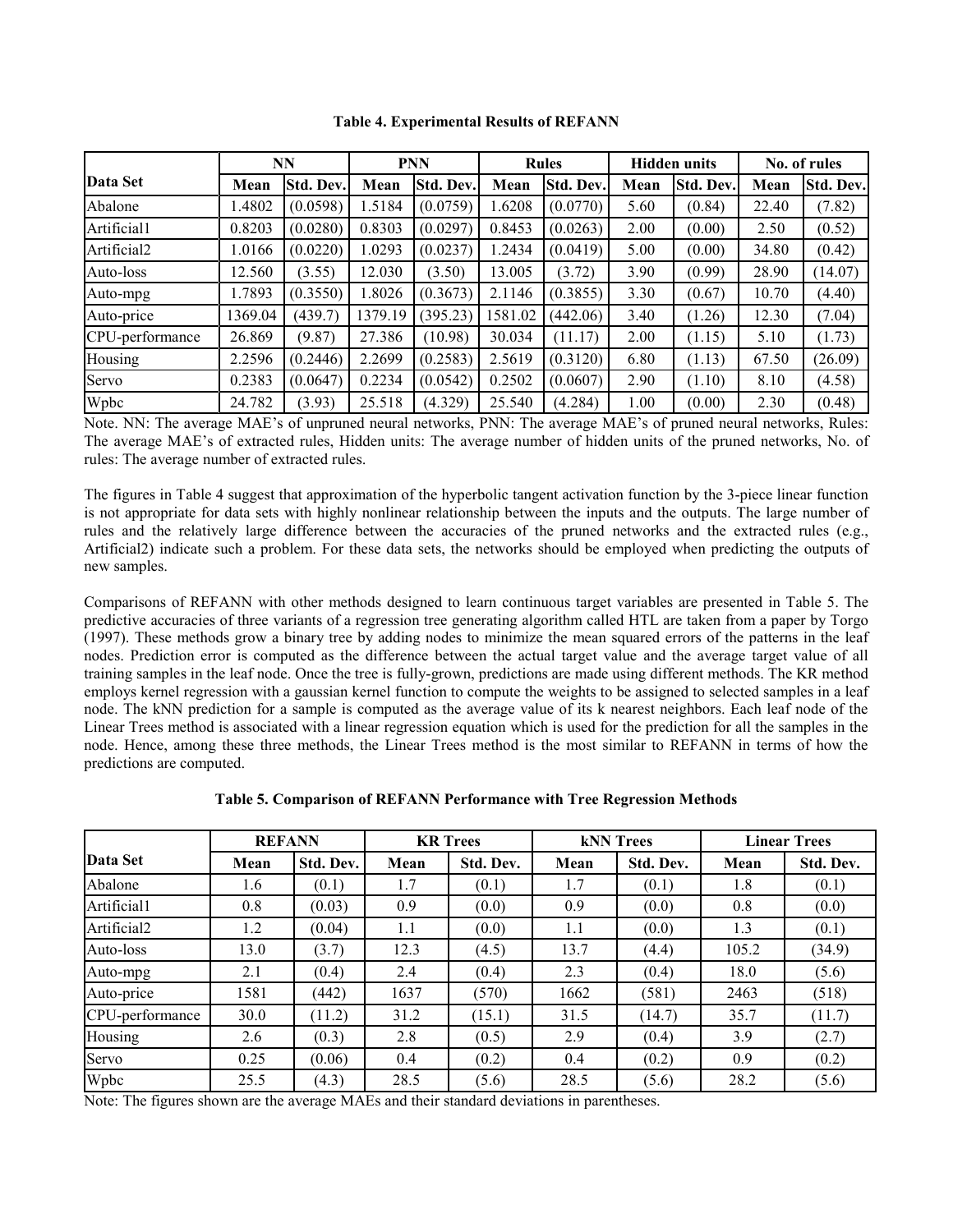|                 | NN<br><b>PNN</b> |                  |         |           | <b>Rules</b> | <b>Hidden units</b> |      | No. of rules |       |           |
|-----------------|------------------|------------------|---------|-----------|--------------|---------------------|------|--------------|-------|-----------|
| Data Set        | Mean             | <b>Std. Dev.</b> | Mean    | Std. Dev. | Mean         | Std. Dev.           | Mean | Std. Dev.    | Mean  | Std. Dev. |
| Abalone         | 1.4802           | (0.0598)         | 1.5184  | (0.0759)  | 1.6208       | (0.0770)            | 5.60 | (0.84)       | 22.40 | (7.82)    |
| Artificial1     | 0.8203           | (0.0280)         | 0.8303  | (0.0297)  | 0.8453       | (0.0263)            | 2.00 | (0.00)       | 2.50  | (0.52)    |
| Artificial2     | 1.0166           | (0.0220)         | 1.0293  | (0.0237)  | 1.2434       | (0.0419)            | 5.00 | (0.00)       | 34.80 | (0.42)    |
| Auto-loss       | 12.560           | (3.55)           | 12.030  | (3.50)    | 13.005       | (3.72)              | 3.90 | (0.99)       | 28.90 | (14.07)   |
| Auto-mpg        | 1.7893           | (0.3550)         | 1.8026  | (0.3673)  | 2.1146       | (0.3855)            | 3.30 | (0.67)       | 10.70 | (4.40)    |
| Auto-price      | 1369.04          | (439.7)          | 1379.19 | (395.23)  | 1581.02      | (442.06)            | 3.40 | (1.26)       | 12.30 | (7.04)    |
| CPU-performance | 26.869           | (9.87)           | 27.386  | (10.98)   | 30.034       | (11.17)             | 2.00 | (1.15)       | 5.10  | (1.73)    |
| Housing         | 2.2596           | (0.2446)         | 2.2699  | (0.2583)  | 2.5619       | (0.3120)            | 6.80 | (1.13)       | 67.50 | (26.09)   |
| Servo           | 0.2383           | (0.0647)         | 0.2234  | (0.0542)  | 0.2502       | (0.0607)            | 2.90 | (1.10)       | 8.10  | (4.58)    |
| Wpbc            | 24.782           | (3.93)           | 25.518  | (4.329)   | 25.540       | (4.284)             | 1.00 | (0.00)       | 2.30  | (0.48)    |

**Table 4. Experimental Results of REFANN** 

Note. NN: The average MAE's of unpruned neural networks, PNN: The average MAE's of pruned neural networks, Rules: The average MAE's of extracted rules, Hidden units: The average number of hidden units of the pruned networks, No. of rules: The average number of extracted rules.

The figures in Table 4 suggest that approximation of the hyperbolic tangent activation function by the 3-piece linear function is not appropriate for data sets with highly nonlinear relationship between the inputs and the outputs. The large number of rules and the relatively large difference between the accuracies of the pruned networks and the extracted rules (e.g., Artificial2) indicate such a problem. For these data sets, the networks should be employed when predicting the outputs of new samples.

Comparisons of REFANN with other methods designed to learn continuous target variables are presented in Table 5. The predictive accuracies of three variants of a regression tree generating algorithm called HTL are taken from a paper by Torgo (1997). These methods grow a binary tree by adding nodes to minimize the mean squared errors of the patterns in the leaf nodes. Prediction error is computed as the difference between the actual target value and the average target value of all training samples in the leaf node. Once the tree is fully-grown, predictions are made using different methods. The KR method employs kernel regression with a gaussian kernel function to compute the weights to be assigned to selected samples in a leaf node. The kNN prediction for a sample is computed as the average value of its k nearest neighbors. Each leaf node of the Linear Trees method is associated with a linear regression equation which is used for the prediction for all the samples in the node. Hence, among these three methods, the Linear Trees method is the most similar to REFANN in terms of how the predictions are computed.

|                         | <b>REFANN</b> |           |      | <b>KR</b> Trees |      | <b>kNN</b> Trees | <b>Linear Trees</b> |           |
|-------------------------|---------------|-----------|------|-----------------|------|------------------|---------------------|-----------|
| Data Set                | Mean          | Std. Dev. | Mean | Std. Dev.       | Mean | Std. Dev.        | Mean                | Std. Dev. |
| Abalone                 | 1.6           | (0.1)     | 1.7  | (0.1)           | 1.7  | (0.1)            | 1.8                 | (0.1)     |
| Artificial1             | 0.8           | (0.03)    | 0.9  | (0.0)           | 0.9  | (0.0)            | 0.8                 | (0.0)     |
| Artificial <sub>2</sub> | 1.2           | (0.04)    | 1.1  | (0.0)           | 1.1  | (0.0)            | 1.3                 | (0.1)     |
| Auto-loss               | 13.0          | (3.7)     | 12.3 | (4.5)           | 13.7 | (4.4)            | 105.2               | (34.9)    |
| Auto-mpg                | 2.1           | (0.4)     | 2.4  | (0.4)           | 2.3  | (0.4)            | 18.0                | (5.6)     |
| Auto-price              | 1581          | (442)     | 1637 | (570)           | 1662 | (581)            | 2463                | (518)     |
| CPU-performance         | 30.0          | (11.2)    | 31.2 | (15.1)          | 31.5 | (14.7)           | 35.7                | (11.7)    |
| Housing                 | 2.6           | (0.3)     | 2.8  | (0.5)           | 2.9  | (0.4)            | 3.9                 | (2.7)     |
| Servo                   | 0.25          | (0.06)    | 0.4  | (0.2)           | 0.4  | (0.2)            | 0.9                 | (0.2)     |
| Wpbc                    | 25.5          | (4.3)     | 28.5 | (5.6)           | 28.5 | (5.6)            | 28.2                | (5.6)     |

**Table 5. Comparison of REFANN Performance with Tree Regression Methods** 

Note: The figures shown are the average MAEs and their standard deviations in parentheses.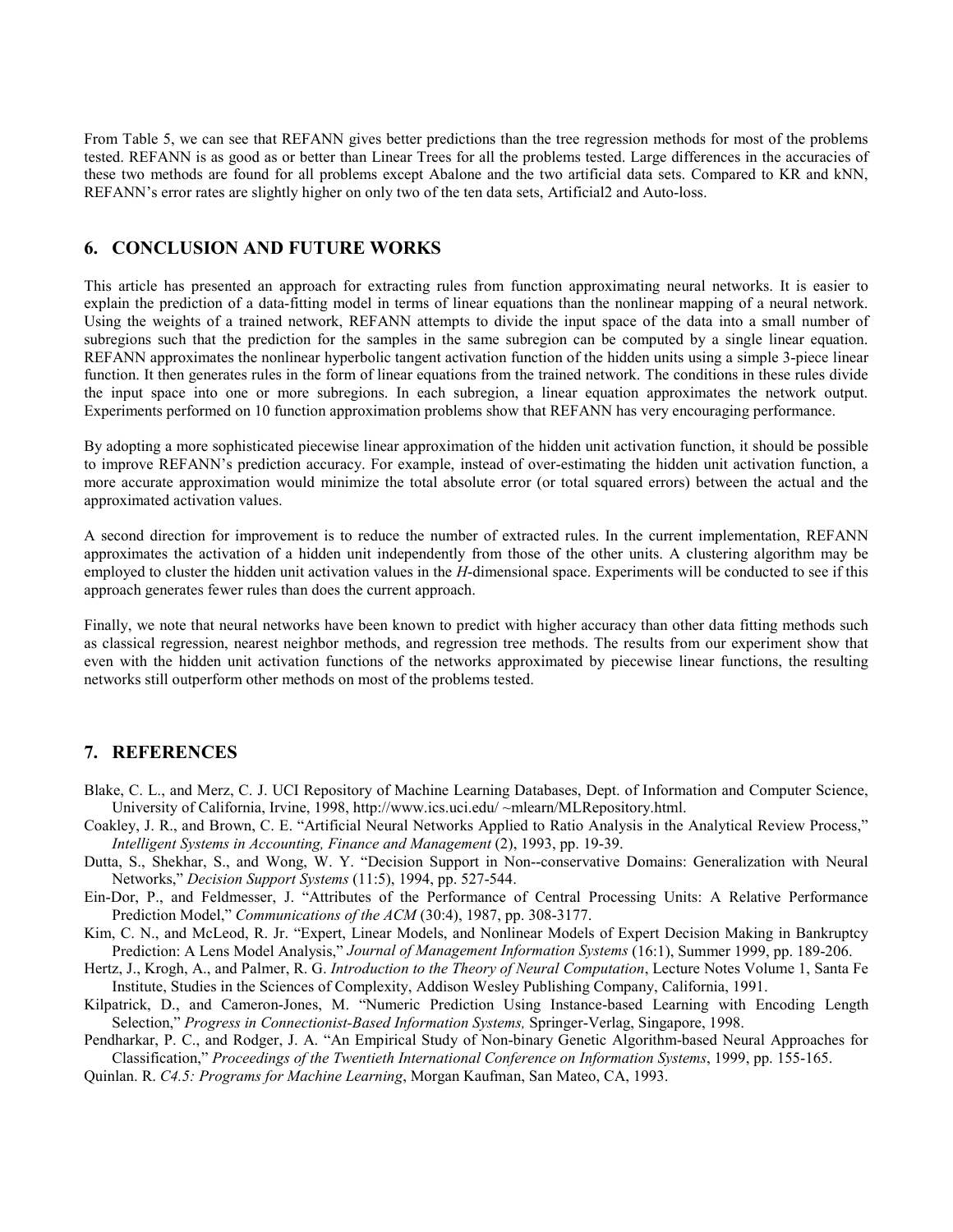From Table 5, we can see that REFANN gives better predictions than the tree regression methods for most of the problems tested. REFANN is as good as or better than Linear Trees for all the problems tested. Large differences in the accuracies of these two methods are found for all problems except Abalone and the two artificial data sets. Compared to KR and kNN, REFANN's error rates are slightly higher on only two of the ten data sets, Artificial2 and Auto-loss.

# **6. CONCLUSION AND FUTURE WORKS**

This article has presented an approach for extracting rules from function approximating neural networks. It is easier to explain the prediction of a data-fitting model in terms of linear equations than the nonlinear mapping of a neural network. Using the weights of a trained network, REFANN attempts to divide the input space of the data into a small number of subregions such that the prediction for the samples in the same subregion can be computed by a single linear equation. REFANN approximates the nonlinear hyperbolic tangent activation function of the hidden units using a simple 3-piece linear function. It then generates rules in the form of linear equations from the trained network. The conditions in these rules divide the input space into one or more subregions. In each subregion, a linear equation approximates the network output. Experiments performed on 10 function approximation problems show that REFANN has very encouraging performance.

By adopting a more sophisticated piecewise linear approximation of the hidden unit activation function, it should be possible to improve REFANN's prediction accuracy. For example, instead of over-estimating the hidden unit activation function, a more accurate approximation would minimize the total absolute error (or total squared errors) between the actual and the approximated activation values.

A second direction for improvement is to reduce the number of extracted rules. In the current implementation, REFANN approximates the activation of a hidden unit independently from those of the other units. A clustering algorithm may be employed to cluster the hidden unit activation values in the *H*-dimensional space. Experiments will be conducted to see if this approach generates fewer rules than does the current approach.

Finally, we note that neural networks have been known to predict with higher accuracy than other data fitting methods such as classical regression, nearest neighbor methods, and regression tree methods. The results from our experiment show that even with the hidden unit activation functions of the networks approximated by piecewise linear functions, the resulting networks still outperform other methods on most of the problems tested.

# **7. REFERENCES**

- Blake, C. L., and Merz, C. J. UCI Repository of Machine Learning Databases, Dept. of Information and Computer Science, University of California, Irvine, 1998, http://www.ics.uci.edu/ ~mlearn/MLRepository.html.
- Coakley, J. R., and Brown, C. E. "Artificial Neural Networks Applied to Ratio Analysis in the Analytical Review Process," *Intelligent Systems in Accounting, Finance and Management* (2), 1993, pp. 19-39.
- Dutta, S., Shekhar, S., and Wong, W. Y. "Decision Support in Non--conservative Domains: Generalization with Neural Networks," *Decision Support Systems* (11:5), 1994, pp. 527-544.
- Ein-Dor, P., and Feldmesser, J. "Attributes of the Performance of Central Processing Units: A Relative Performance Prediction Model," *Communications of the ACM* (30:4), 1987, pp. 308-3177.
- Kim, C. N., and McLeod, R. Jr. "Expert, Linear Models, and Nonlinear Models of Expert Decision Making in Bankruptcy Prediction: A Lens Model Analysis," *Journal of Management Information Systems* (16:1), Summer 1999, pp. 189-206.
- Hertz, J., Krogh, A., and Palmer, R. G. *Introduction to the Theory of Neural Computation*, Lecture Notes Volume 1, Santa Fe Institute, Studies in the Sciences of Complexity, Addison Wesley Publishing Company, California, 1991.
- Kilpatrick, D., and Cameron-Jones, M. "Numeric Prediction Using Instance-based Learning with Encoding Length Selection," *Progress in Connectionist-Based Information Systems,* Springer-Verlag, Singapore, 1998.

Pendharkar, P. C., and Rodger, J. A. "An Empirical Study of Non-binary Genetic Algorithm-based Neural Approaches for Classification," *Proceedings of the Twentieth International Conference on Information Systems*, 1999, pp. 155-165.

Quinlan. R. *C4.5: Programs for Machine Learning*, Morgan Kaufman, San Mateo, CA, 1993.